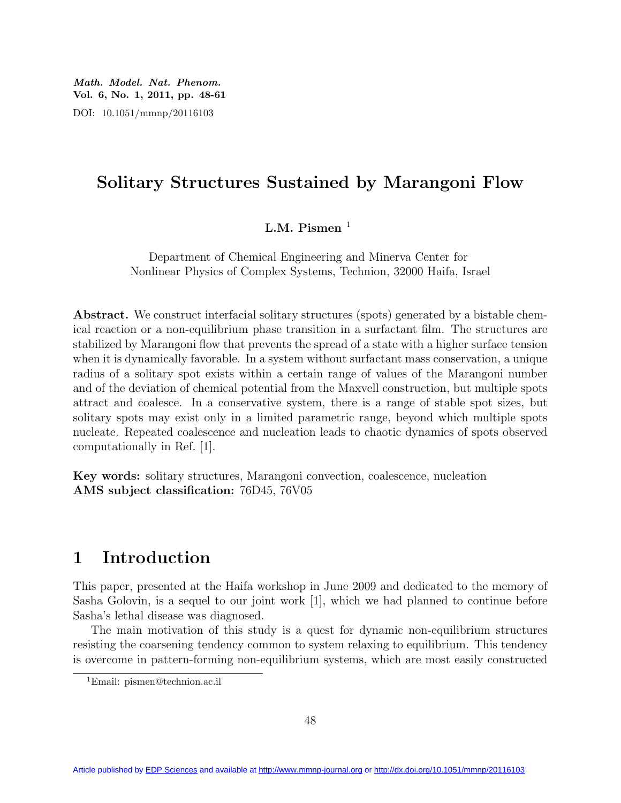Math. Model. Nat. Phenom. Vol. 6, No. 1, 2011, pp. 48-61 DOI: 10.1051/mmnp/20116103

## Solitary Structures Sustained by Marangoni Flow

### L.M. Pismen $<sup>1</sup>$ </sup>

Department of Chemical Engineering and Minerva Center for Nonlinear Physics of Complex Systems, Technion, 32000 Haifa, Israel

Abstract. We construct interfacial solitary structures (spots) generated by a bistable chemical reaction or a non-equilibrium phase transition in a surfactant film. The structures are stabilized by Marangoni flow that prevents the spread of a state with a higher surface tension when it is dynamically favorable. In a system without surfactant mass conservation, a unique radius of a solitary spot exists within a certain range of values of the Marangoni number and of the deviation of chemical potential from the Maxvell construction, but multiple spots attract and coalesce. In a conservative system, there is a range of stable spot sizes, but solitary spots may exist only in a limited parametric range, beyond which multiple spots nucleate. Repeated coalescence and nucleation leads to chaotic dynamics of spots observed computationally in Ref. [1].

Key words: solitary structures, Marangoni convection, coalescence, nucleation AMS subject classification: 76D45, 76V05

# 1 Introduction

This paper, presented at the Haifa workshop in June 2009 and dedicated to the memory of Sasha Golovin, is a sequel to our joint work [1], which we had planned to continue before Sasha's lethal disease was diagnosed.

The main motivation of this study is a quest for dynamic non-equilibrium structures resisting the coarsening tendency common to system relaxing to equilibrium. This tendency is overcome in pattern-forming non-equilibrium systems, which are most easily constructed

<sup>1</sup>Email: pismen@technion.ac.il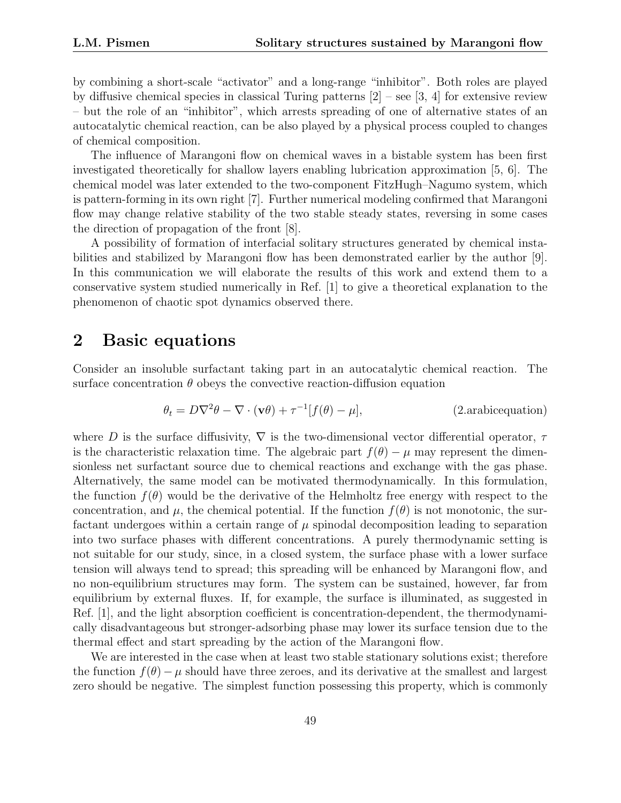by combining a short-scale "activator" and a long-range "inhibitor". Both roles are played by diffusive chemical species in classical Turing patterns  $[2]$  – see [3, 4] for extensive review – but the role of an "inhibitor", which arrests spreading of one of alternative states of an autocatalytic chemical reaction, can be also played by a physical process coupled to changes of chemical composition.

The influence of Marangoni flow on chemical waves in a bistable system has been first investigated theoretically for shallow layers enabling lubrication approximation [5, 6]. The chemical model was later extended to the two-component FitzHugh–Nagumo system, which is pattern-forming in its own right [7]. Further numerical modeling confirmed that Marangoni flow may change relative stability of the two stable steady states, reversing in some cases the direction of propagation of the front [8].

A possibility of formation of interfacial solitary structures generated by chemical instabilities and stabilized by Marangoni flow has been demonstrated earlier by the author [9]. In this communication we will elaborate the results of this work and extend them to a conservative system studied numerically in Ref. [1] to give a theoretical explanation to the phenomenon of chaotic spot dynamics observed there.

### 2 Basic equations

Consider an insoluble surfactant taking part in an autocatalytic chemical reaction. The surface concentration  $\theta$  obeys the convective reaction-diffusion equation

$$
\theta_t = D\nabla^2 \theta - \nabla \cdot (\mathbf{v}\theta) + \tau^{-1} [f(\theta) - \mu], \qquad (2.\text{arabicequation})
$$

where D is the surface diffusivity,  $\nabla$  is the two-dimensional vector differential operator,  $\tau$ is the characteristic relaxation time. The algebraic part  $f(\theta) - \mu$  may represent the dimensionless net surfactant source due to chemical reactions and exchange with the gas phase. Alternatively, the same model can be motivated thermodynamically. In this formulation, the function  $f(\theta)$  would be the derivative of the Helmholtz free energy with respect to the concentration, and  $\mu$ , the chemical potential. If the function  $f(\theta)$  is not monotonic, the surfactant undergoes within a certain range of  $\mu$  spinodal decomposition leading to separation into two surface phases with different concentrations. A purely thermodynamic setting is not suitable for our study, since, in a closed system, the surface phase with a lower surface tension will always tend to spread; this spreading will be enhanced by Marangoni flow, and no non-equilibrium structures may form. The system can be sustained, however, far from equilibrium by external fluxes. If, for example, the surface is illuminated, as suggested in Ref. [1], and the light absorption coefficient is concentration-dependent, the thermodynamically disadvantageous but stronger-adsorbing phase may lower its surface tension due to the thermal effect and start spreading by the action of the Marangoni flow.

We are interested in the case when at least two stable stationary solutions exist; therefore the function  $f(\theta) - \mu$  should have three zeroes, and its derivative at the smallest and largest zero should be negative. The simplest function possessing this property, which is commonly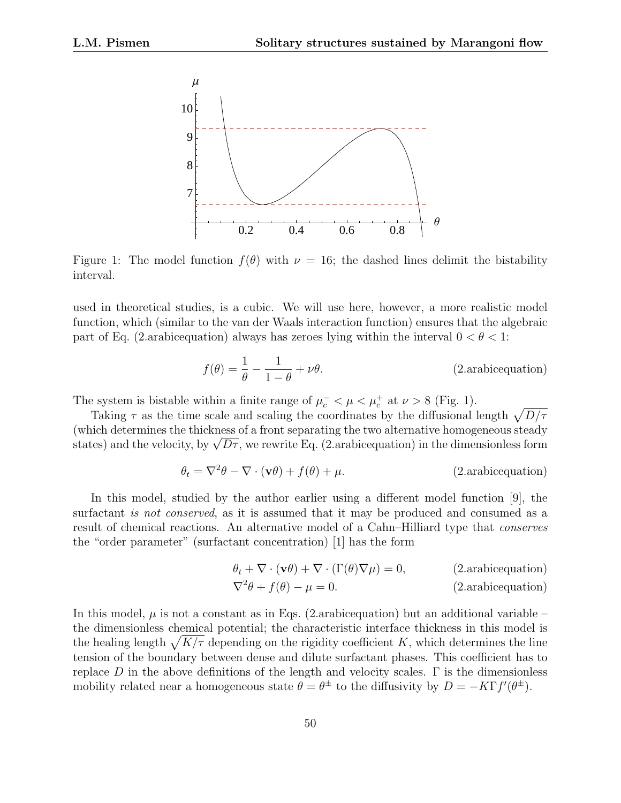

Figure 1: The model function  $f(\theta)$  with  $\nu = 16$ ; the dashed lines delimit the bistability interval.

used in theoretical studies, is a cubic. We will use here, however, a more realistic model function, which (similar to the van der Waals interaction function) ensures that the algebraic part of Eq. (2.arabicequation) always has zeroes lying within the interval  $0 < \theta < 1$ :

$$
f(\theta) = \frac{1}{\theta} - \frac{1}{1 - \theta} + \nu\theta.
$$
 (2.arabicequation)

The system is bistable within a finite range of  $\mu_c^- < \mu < \mu_c^+$  at  $\nu > 8$  (Fig. 1).

Taking  $\tau$  as the time scale and scaling the coordinates by the diffusional length  $\sqrt{D/\tau}$ (which determines the thickness of a front separating the two alternative homogeneous steady (which determines the thickness of a front separating the two alternative homogeneous steady<br>states) and the velocity, by  $\sqrt{D\tau},$  we rewrite Eq. (2.arabicequation) in the dimensionless form

$$
\theta_t = \nabla^2 \theta - \nabla \cdot (\mathbf{v}\theta) + f(\theta) + \mu.
$$
\n(2.arabicequation)

In this model, studied by the author earlier using a different model function [9], the surfactant *is not conserved*, as it is assumed that it may be produced and consumed as a result of chemical reactions. An alternative model of a Cahn–Hilliard type that conserves the "order parameter" (surfactant concentration) [1] has the form

$$
\theta_t + \nabla \cdot (\mathbf{v}\theta) + \nabla \cdot (\Gamma(\theta)\nabla \mu) = 0,
$$
\n(2.arabicequation)

$$
\nabla^2 \theta + f(\theta) - \mu = 0. \tag{2.arabicequation}
$$

In this model,  $\mu$  is not a constant as in Eqs. (2.arabicequation) but an additional variable – the dimensionless chemical potential; the characteristic interface thickness in this model is the healing length  $\sqrt{K/\tau}$  depending on the rigidity coefficient K, which determines the line tension of the boundary between dense and dilute surfactant phases. This coefficient has to replace D in the above definitions of the length and velocity scales.  $\Gamma$  is the dimensionless mobility related near a homogeneous state  $\theta = \theta^{\pm}$  to the diffusivity by  $D = -KTf'(\theta^{\pm})$ .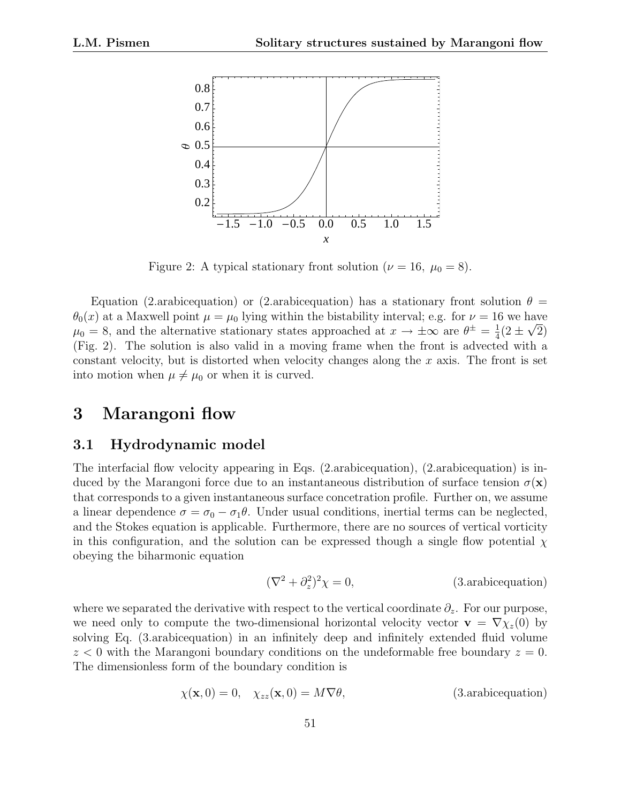

Figure 2: A typical stationary front solution ( $\nu = 16$ ,  $\mu_0 = 8$ ).

Equation (2.arabicequation) or (2.arabicequation) has a stationary front solution  $\theta =$  $\theta_0(x)$  at a Maxwell point  $\mu = \mu_0$  lying within the bistability interval; e.g. for  $\nu = 16$  we have  $\mu_0 = 8$ , and the alternative stationary states approached at  $x \to \pm \infty$  are  $\theta^{\pm} = \frac{1}{4}$  $\frac{1}{4}(2\pm\sqrt{2})$ (Fig. 2). The solution is also valid in a moving frame when the front is advected with a constant velocity, but is distorted when velocity changes along the x axis. The front is set into motion when  $\mu \neq \mu_0$  or when it is curved.

## 3 Marangoni flow

#### 3.1 Hydrodynamic model

The interfacial flow velocity appearing in Eqs. (2.arabicequation), (2.arabicequation) is induced by the Marangoni force due to an instantaneous distribution of surface tension  $\sigma(\mathbf{x})$ that corresponds to a given instantaneous surface concetration profile. Further on, we assume a linear dependence  $\sigma = \sigma_0 - \sigma_1 \theta$ . Under usual conditions, inertial terms can be neglected, and the Stokes equation is applicable. Furthermore, there are no sources of vertical vorticity in this configuration, and the solution can be expressed though a single flow potential  $\chi$ obeying the biharmonic equation

$$
(\nabla^2 + \partial_z^2)^2 \chi = 0,
$$
 (3.arabicequation)

where we separated the derivative with respect to the vertical coordinate  $\partial_z$ . For our purpose, we need only to compute the two-dimensional horizontal velocity vector  $\mathbf{v} = \nabla \chi_z(0)$  by solving Eq. (3.arabicequation) in an infinitely deep and infinitely extended fluid volume  $z < 0$  with the Marangoni boundary conditions on the undeformable free boundary  $z = 0$ . The dimensionless form of the boundary condition is

$$
\chi(\mathbf{x},0) = 0, \quad \chi_{zz}(\mathbf{x},0) = M\nabla\theta,
$$
\n(3.arabicequation)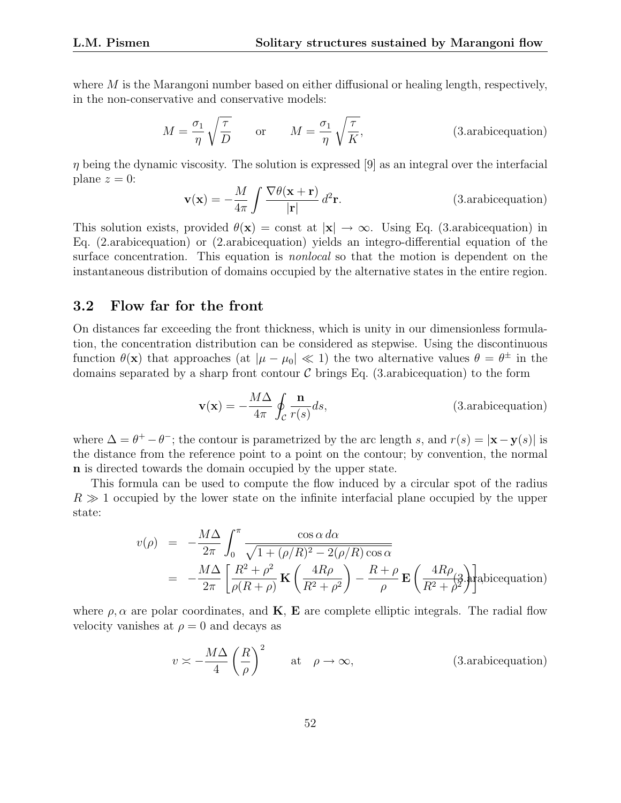where  $M$  is the Marangoni number based on either diffusional or healing length, respectively, in the non-conservative and conservative models:

$$
M = \frac{\sigma_1}{\eta} \sqrt{\frac{\tau}{D}} \quad \text{or} \quad M = \frac{\sigma_1}{\eta} \sqrt{\frac{\tau}{K}}, \quad (3.\text{arabicequation})
$$

 $\eta$  being the dynamic viscosity. The solution is expressed [9] as an integral over the interfacial plane  $z = 0$ :

$$
\mathbf{v}(\mathbf{x}) = -\frac{M}{4\pi} \int \frac{\nabla \theta(\mathbf{x} + \mathbf{r})}{|\mathbf{r}|} d^2 \mathbf{r}.
$$
 (3.arabicequation)

This solution exists, provided  $\theta(\mathbf{x}) = \text{const}$  at  $|\mathbf{x}| \to \infty$ . Using Eq. (3.arabicequation) in Eq. (2.arabicequation) or (2.arabicequation) yields an integro-differential equation of the surface concentration. This equation is *nonlocal* so that the motion is dependent on the instantaneous distribution of domains occupied by the alternative states in the entire region.

### 3.2 Flow far for the front

On distances far exceeding the front thickness, which is unity in our dimensionless formulation, the concentration distribution can be considered as stepwise. Using the discontinuous function  $\theta(\mathbf{x})$  that approaches (at  $|\mu - \mu_0| \ll 1$ ) the two alternative values  $\theta = \theta^{\pm}$  in the domains separated by a sharp front contour  $\mathcal C$  brings Eq. (3.arabicequation) to the form

$$
\mathbf{v}(\mathbf{x}) = -\frac{M\Delta}{4\pi} \oint_{\mathcal{C}} \frac{\mathbf{n}}{r(s)} ds,
$$
 (3.arabicequation)

where  $\Delta = \theta^+ - \theta^-$ ; the contour is parametrized by the arc length s, and  $r(s) = |\mathbf{x} - \mathbf{y}(s)|$  is the distance from the reference point to a point on the contour; by convention, the normal n is directed towards the domain occupied by the upper state.

This formula can be used to compute the flow induced by a circular spot of the radius  $R \gg 1$  occupied by the lower state on the infinite interfacial plane occupied by the upper state:

$$
v(\rho) = -\frac{M\Delta}{2\pi} \int_0^{\pi} \frac{\cos \alpha \, d\alpha}{\sqrt{1 + (\rho/R)^2 - 2(\rho/R)\cos \alpha}}
$$
  
= 
$$
-\frac{M\Delta}{2\pi} \left[ \frac{R^2 + \rho^2}{\rho(R + \rho)} \mathbf{K} \left( \frac{4R\rho}{R^2 + \rho^2} \right) - \frac{R + \rho}{\rho} \mathbf{E} \left( \frac{4R\rho}{R^2 + \rho^2} \right) \right]
$$

where  $\rho$ ,  $\alpha$  are polar coordinates, and **K**, **E** are complete elliptic integrals. The radial flow velocity vanishes at  $\rho = 0$  and decays as

$$
v \asymp -\frac{M\Delta}{4} \left(\frac{R}{\rho}\right)^2 \qquad \text{at} \quad \rho \to \infty,
$$
 (3.arabicequation)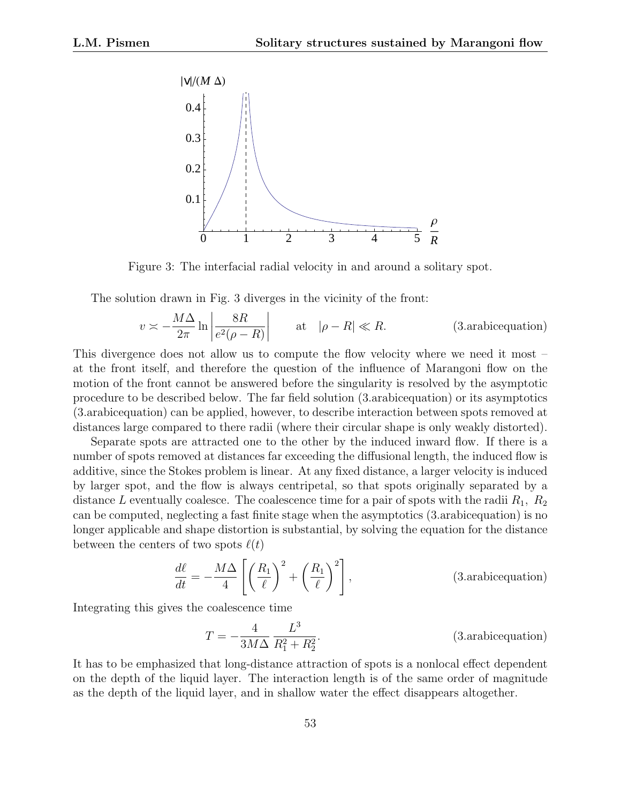

Figure 3: The interfacial radial velocity in and around a solitary spot.

The solution drawn in Fig. 3 diverges in the vicinity of the front:

$$
v \asymp -\frac{M\Delta}{2\pi} \ln \left| \frac{8R}{e^2(\rho - R)} \right| \quad \text{at} \quad |\rho - R| \ll R. \tag{3.arabicequation}
$$

This divergence does not allow us to compute the flow velocity where we need it most – at the front itself, and therefore the question of the influence of Marangoni flow on the motion of the front cannot be answered before the singularity is resolved by the asymptotic procedure to be described below. The far field solution (3.arabicequation) or its asymptotics (3.arabicequation) can be applied, however, to describe interaction between spots removed at distances large compared to there radii (where their circular shape is only weakly distorted).

Separate spots are attracted one to the other by the induced inward flow. If there is a number of spots removed at distances far exceeding the diffusional length, the induced flow is additive, since the Stokes problem is linear. At any fixed distance, a larger velocity is induced by larger spot, and the flow is always centripetal, so that spots originally separated by a distance L eventually coalesce. The coalescence time for a pair of spots with the radii  $R_1$ ,  $R_2$ can be computed, neglecting a fast finite stage when the asymptotics (3.arabicequation) is no longer applicable and shape distortion is substantial, by solving the equation for the distance between the centers of two spots  $\ell(t)$ 

$$
\frac{d\ell}{dt} = -\frac{M\Delta}{4} \left[ \left(\frac{R_1}{\ell}\right)^2 + \left(\frac{R_1}{\ell}\right)^2 \right],\tag{3.arabicequation}
$$

Integrating this gives the coalescence time

$$
T = -\frac{4}{3M\Delta} \frac{L^3}{R_1^2 + R_2^2}.
$$
 (3.arabicequation)

It has to be emphasized that long-distance attraction of spots is a nonlocal effect dependent on the depth of the liquid layer. The interaction length is of the same order of magnitude as the depth of the liquid layer, and in shallow water the effect disappears altogether.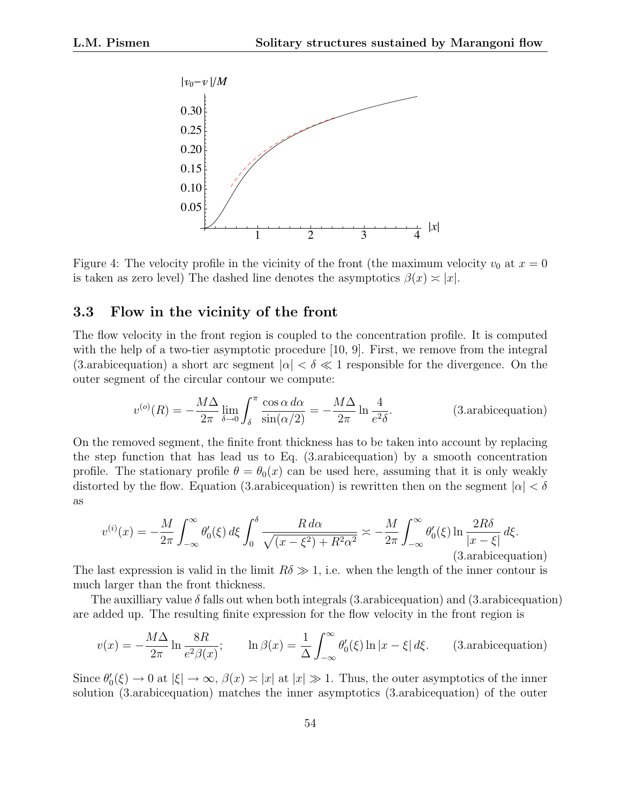

Figure 4: The velocity profile in the vicinity of the front (the maximum velocity  $v_0$  at  $x = 0$ is taken as zero level) The dashed line denotes the asymptotics  $\beta(x) \approx |x|$ .

### 3.3 Flow in the vicinity of the front

The flow velocity in the front region is coupled to the concentration profile. It is computed with the help of a two-tier asymptotic procedure [10, 9]. First, we remove from the integral (3.arabicequation) a short arc segment  $|\alpha| < \delta \ll 1$  responsible for the divergence. On the outer segment of the circular contour we compute:

$$
v^{(o)}(R) = -\frac{M\Delta}{2\pi} \lim_{\delta \to 0} \int_{\delta}^{\pi} \frac{\cos \alpha \, d\alpha}{\sin(\alpha/2)} = -\frac{M\Delta}{2\pi} \ln \frac{4}{e^2 \delta}.
$$
 (3.arabicequation)

On the removed segment, the finite front thickness has to be taken into account by replacing the step function that has lead us to Eq. (3.arabicequation) by a smooth concentration profile. The stationary profile  $\theta = \theta_0(x)$  can be used here, assuming that it is only weakly distorted by the flow. Equation (3.arabicequation) is rewritten then on the segment  $|\alpha| < \delta$ as

$$
v^{(i)}(x) = -\frac{M}{2\pi} \int_{-\infty}^{\infty} \theta_0'(\xi) d\xi \int_0^{\delta} \frac{R d\alpha}{\sqrt{(x-\xi^2) + R^2 \alpha^2}} \asymp -\frac{M}{2\pi} \int_{-\infty}^{\infty} \theta_0'(\xi) \ln \frac{2R\delta}{|x-\xi|} d\xi.
$$
\n(3.arabicequation)

The last expression is valid in the limit  $R\delta \gg 1$ , i.e. when the length of the inner contour is much larger than the front thickness.

The auxilliary value  $\delta$  falls out when both integrals (3.arabicequation) and (3.arabicequation) are added up. The resulting finite expression for the flow velocity in the front region is

$$
v(x) = -\frac{M\Delta}{2\pi} \ln \frac{8R}{e^2 \beta(x)}; \qquad \ln \beta(x) = \frac{1}{\Delta} \int_{-\infty}^{\infty} \theta'_0(\xi) \ln|x - \xi| d\xi. \qquad \text{(3.arabicequation)}
$$

Since  $\theta'_0(\xi) \to 0$  at  $|\xi| \to \infty$ ,  $\beta(x) \approx |x|$  at  $|x| \gg 1$ . Thus, the outer asymptotics of the inner solution (3.arabicequation) matches the inner asymptotics (3.arabicequation) of the outer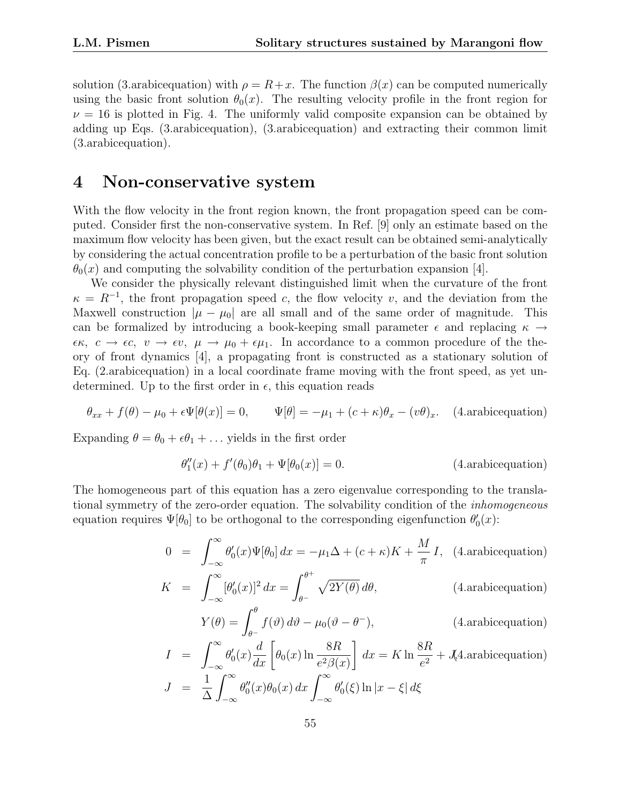solution (3.arabicequation) with  $\rho = R+x$ . The function  $\beta(x)$  can be computed numerically using the basic front solution  $\theta_0(x)$ . The resulting velocity profile in the front region for  $\nu = 16$  is plotted in Fig. 4. The uniformly valid composite expansion can be obtained by adding up Eqs. (3.arabicequation), (3.arabicequation) and extracting their common limit (3.arabicequation).

## 4 Non-conservative system

With the flow velocity in the front region known, the front propagation speed can be computed. Consider first the non-conservative system. In Ref. [9] only an estimate based on the maximum flow velocity has been given, but the exact result can be obtained semi-analytically by considering the actual concentration profile to be a perturbation of the basic front solution  $\theta_0(x)$  and computing the solvability condition of the perturbation expansion [4].

We consider the physically relevant distinguished limit when the curvature of the front  $\kappa = R^{-1}$ , the front propagation speed c, the flow velocity v, and the deviation from the Maxwell construction  $|\mu - \mu_0|$  are all small and of the same order of magnitude. This can be formalized by introducing a book-keeping small parameter  $\epsilon$  and replacing  $\kappa \rightarrow$  $\epsilon \kappa, c \to \epsilon c, v \to \epsilon v, \mu \to \mu_0 + \epsilon \mu_1$ . In accordance to a common procedure of the theory of front dynamics [4], a propagating front is constructed as a stationary solution of Eq. (2.arabicequation) in a local coordinate frame moving with the front speed, as yet undetermined. Up to the first order in  $\epsilon$ , this equation reads

$$
\theta_{xx} + f(\theta) - \mu_0 + \epsilon \Psi[\theta(x)] = 0, \qquad \Psi[\theta] = -\mu_1 + (c + \kappa)\theta_x - (v\theta)_x. \quad (4.\text{arabicequation})
$$

Expanding  $\theta = \theta_0 + \epsilon \theta_1 + \ldots$  yields in the first order

$$
\theta_1''(x) + f'(\theta_0)\theta_1 + \Psi[\theta_0(x)] = 0.
$$
\n(4.arabicequation)

The homogeneous part of this equation has a zero eigenvalue corresponding to the translational symmetry of the zero-order equation. The solvability condition of the *inhomogeneous* equation requires  $\Psi[\theta_0]$  to be orthogonal to the corresponding eigenfunction  $\theta'_0(x)$ :

$$
0 = \int_{-\infty}^{\infty} \theta_0'(x) \Psi[\theta_0] dx = -\mu_1 \Delta + (c + \kappa) K + \frac{M}{\pi} I, \quad \text{(4.arabicequation)}
$$

$$
K = \int_{-\infty}^{\infty} [\theta_0'(x)]^2 dx = \int_{\theta^-}^{\theta^+} \sqrt{2Y(\theta)} d\theta,
$$
 (4.arabicequation)

$$
Y(\theta) = \int_{\theta^-}^{\theta} f(\vartheta) d\vartheta - \mu_0(\vartheta - \theta^-),
$$
 (4.arabicequation)

$$
I = \int_{-\infty}^{\infty} \theta_0'(x) \frac{d}{dx} \left[ \theta_0(x) \ln \frac{8R}{e^2 \beta(x)} \right] dx = K \ln \frac{8R}{e^2} + J(4.\text{arabicequation})
$$
  

$$
J = \frac{1}{\Delta} \int_{-\infty}^{\infty} \theta_0''(x) \theta_0(x) dx \int_{-\infty}^{\infty} \theta_0'(\xi) \ln|x - \xi| d\xi
$$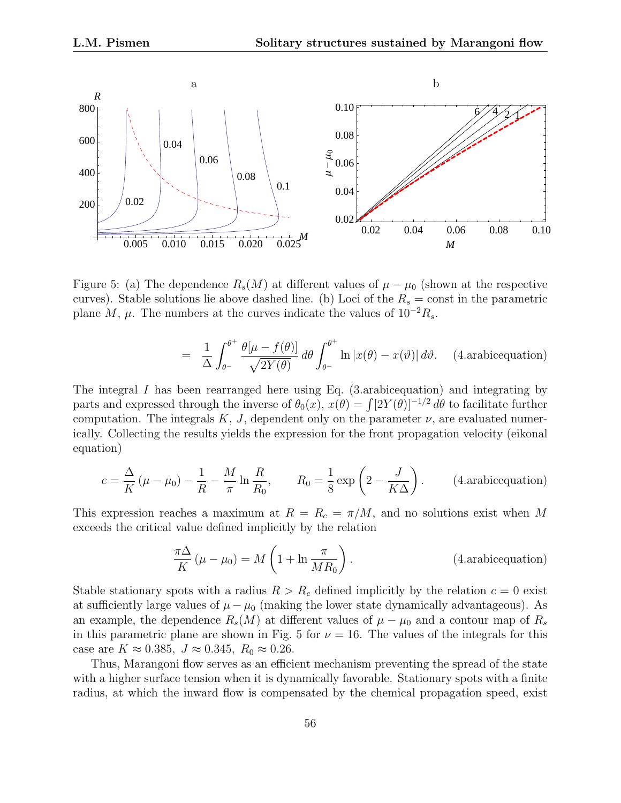

Figure 5: (a) The dependence  $R_s(M)$  at different values of  $\mu - \mu_0$  (shown at the respective curves). Stable solutions lie above dashed line. (b) Loci of the  $R_s = \text{const}$  in the parametric plane M,  $\mu$ . The numbers at the curves indicate the values of  $10^{-2}R_s$ .

$$
= \frac{1}{\Delta} \int_{\theta^{-}}^{\theta^{+}} \frac{\theta[\mu - f(\theta)]}{\sqrt{2Y(\theta)}} d\theta \int_{\theta^{-}}^{\theta^{+}} \ln|x(\theta) - x(\theta)| d\theta. \quad (4.\text{arabicequation})
$$

The integral I has been rearranged here using Eq. (3.arabicequation) and integrating by parts and expressed through the inverse of  $\theta_0(x)$ ,  $x(\theta) = \int [2Y(\theta)]^{-1/2} d\theta$  to facilitate further computation. The integrals K, J, dependent only on the parameter  $\nu$ , are evaluated numerically. Collecting the results yields the expression for the front propagation velocity (eikonal equation)

$$
c = \frac{\Delta}{K} (\mu - \mu_0) - \frac{1}{R} - \frac{M}{\pi} \ln \frac{R}{R_0}, \qquad R_0 = \frac{1}{8} \exp\left(2 - \frac{J}{K\Delta}\right). \tag{4.arabicequation}
$$

This expression reaches a maximum at  $R = R_c = \pi/M$ , and no solutions exist when M exceeds the critical value defined implicitly by the relation

$$
\frac{\pi \Delta}{K} (\mu - \mu_0) = M \left( 1 + \ln \frac{\pi}{MR_0} \right).
$$
 (4.arabicequation)

Stable stationary spots with a radius  $R > R_c$  defined implicitly by the relation  $c = 0$  exist at sufficiently large values of  $\mu - \mu_0$  (making the lower state dynamically advantageous). As an example, the dependence  $R_s(M)$  at different values of  $\mu - \mu_0$  and a contour map of  $R_s$ in this parametric plane are shown in Fig. 5 for  $\nu = 16$ . The values of the integrals for this case are  $K \approx 0.385$ ,  $J \approx 0.345$ ,  $R_0 \approx 0.26$ .

Thus, Marangoni flow serves as an efficient mechanism preventing the spread of the state with a higher surface tension when it is dynamically favorable. Stationary spots with a finite radius, at which the inward flow is compensated by the chemical propagation speed, exist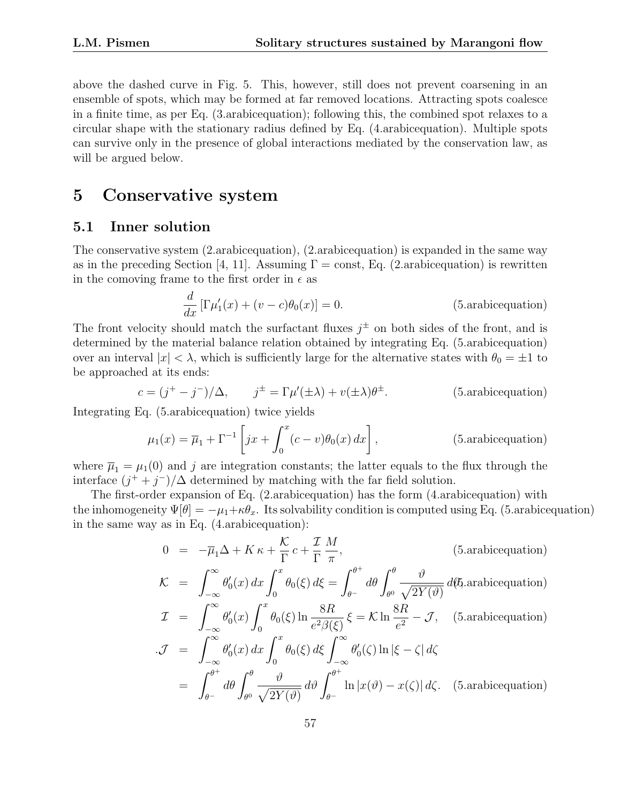above the dashed curve in Fig. 5. This, however, still does not prevent coarsening in an ensemble of spots, which may be formed at far removed locations. Attracting spots coalesce in a finite time, as per Eq. (3.arabicequation); following this, the combined spot relaxes to a circular shape with the stationary radius defined by Eq. (4.arabicequation). Multiple spots can survive only in the presence of global interactions mediated by the conservation law, as will be argued below.

## 5 Conservative system

#### 5.1 Inner solution

The conservative system (2.arabicequation), (2.arabicequation) is expanded in the same way as in the preceding Section [4, 11]. Assuming  $\Gamma = \text{const}$ , Eq. (2.arabicequation) is rewritten in the comoving frame to the first order in  $\epsilon$  as

$$
\frac{d}{dx}\left[\Gamma\mu_1'(x) + (v-c)\theta_0(x)\right] = 0.
$$
\n(5.arabicequation)

The front velocity should match the surfactant fluxes  $j^{\pm}$  on both sides of the front, and is determined by the material balance relation obtained by integrating Eq. (5.arabicequation) over an interval  $|x| < \lambda$ , which is sufficiently large for the alternative states with  $\theta_0 = \pm 1$  to be approached at its ends:

$$
c = (j^+ - j^-)/\Delta
$$
,  $j^{\pm} = \Gamma \mu'(\pm \lambda) + v(\pm \lambda)\theta^{\pm}$ . (5.arabicequation)

Integrating Eq. (5.arabicequation) twice yields

$$
\mu_1(x) = \overline{\mu}_1 + \Gamma^{-1} \left[ jx + \int_0^x (c - v)\theta_0(x) dx \right],
$$
 (5.arabicequation)

where  $\bar{\mu}_1 = \mu_1(0)$  and j are integration constants; the latter equals to the flux through the interface  $(j^+ + j^-)/\Delta$  determined by matching with the far field solution.

The first-order expansion of Eq. (2.arabicequation) has the form (4.arabicequation) with the inhomogeneity  $\Psi[\theta] = -\mu_1 + \kappa \theta_x$ . Its solvability condition is computed using Eq. (5.arabicequation) in the same way as in Eq. (4.arabicequation):

$$
0 = -\overline{\mu}_1 \Delta + K \kappa + \frac{\mathcal{K}}{\Gamma} c + \frac{\mathcal{I}}{\Gamma} \frac{M}{\pi}, \qquad (5.\text{arabicequation})
$$
  
\n
$$
\mathcal{K} = \int_{-\infty}^{\infty} \theta'_0(x) dx \int_0^x \theta_0(\xi) d\xi = \int_{\theta^-}^{\theta^+} d\theta \int_{\theta^0}^{\theta} \frac{\vartheta}{\sqrt{2Y(\vartheta)}} d(\xi.\text{arabicequation})
$$
  
\n
$$
\mathcal{I} = \int_{-\infty}^{\infty} \theta'_0(x) \int_0^x \theta_0(\xi) \ln \frac{8R}{e^2 \beta(\xi)} \xi = \mathcal{K} \ln \frac{8R}{e^2} - \mathcal{J}, \quad (5.\text{arabicequation})
$$
  
\n
$$
\mathcal{J} = \int_{-\infty}^{\infty} \theta'_0(x) dx \int_0^x \theta_0(\xi) d\xi \int_{-\infty}^{\infty} \theta'_0(\zeta) \ln |\xi - \zeta| d\zeta
$$
  
\n
$$
= \int_{\theta^-}^{\theta^+} d\theta \int_{\theta^0}^{\theta} \frac{\vartheta}{\sqrt{2Y(\vartheta)}} d\vartheta \int_{\theta^-}^{\theta^+} \ln |x(\vartheta) - x(\zeta)| d\zeta. \quad (5.\text{arabicequation})
$$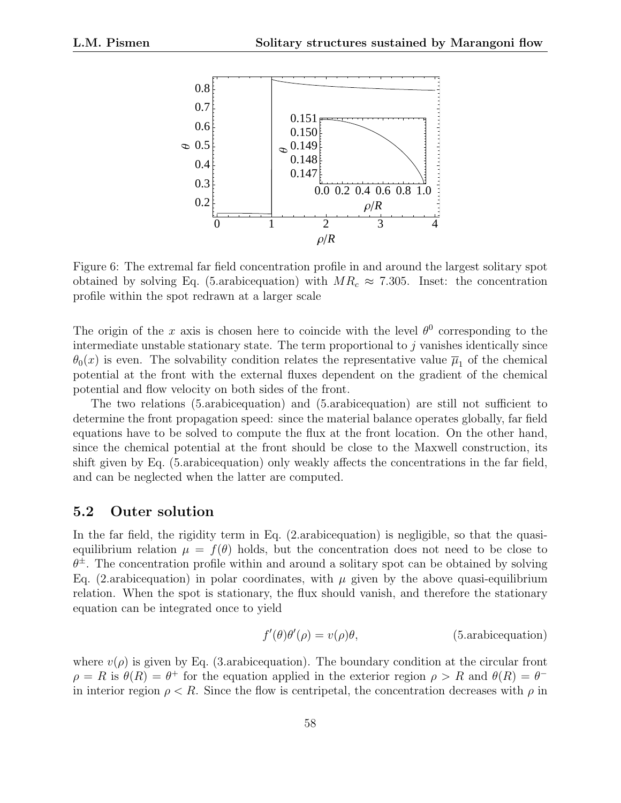

Figure 6: The extremal far field concentration profile in and around the largest solitary spot obtained by solving Eq. (5.arabicequation) with  $MR_c \approx 7.305$ . Inset: the concentration profile within the spot redrawn at a larger scale

The origin of the x axis is chosen here to coincide with the level  $\theta^0$  corresponding to the intermediate unstable stationary state. The term proportional to  $j$  vanishes identically since  $\theta_0(x)$  is even. The solvability condition relates the representative value  $\overline{\mu}_1$  of the chemical potential at the front with the external fluxes dependent on the gradient of the chemical potential and flow velocity on both sides of the front.

The two relations (5.arabicequation) and (5.arabicequation) are still not sufficient to determine the front propagation speed: since the material balance operates globally, far field equations have to be solved to compute the flux at the front location. On the other hand, since the chemical potential at the front should be close to the Maxwell construction, its shift given by Eq. (5.arabicequation) only weakly affects the concentrations in the far field, and can be neglected when the latter are computed.

#### 5.2 Outer solution

In the far field, the rigidity term in Eq. (2.arabicequation) is negligible, so that the quasiequilibrium relation  $\mu = f(\theta)$  holds, but the concentration does not need to be close to  $\theta^{\pm}$ . The concentration profile within and around a solitary spot can be obtained by solving Eq. (2.arabicequation) in polar coordinates, with  $\mu$  given by the above quasi-equilibrium relation. When the spot is stationary, the flux should vanish, and therefore the stationary equation can be integrated once to yield

$$
f'(\theta)\theta'(\rho) = v(\rho)\theta,
$$
 (5.arabicequation)

where  $v(\rho)$  is given by Eq. (3.arabicequation). The boundary condition at the circular front  $\rho = R$  is  $\theta(R) = \theta^+$  for the equation applied in the exterior region  $\rho > R$  and  $\theta(R) = \theta^$ in interior region  $\rho < R$ . Since the flow is centripetal, the concentration decreases with  $\rho$  in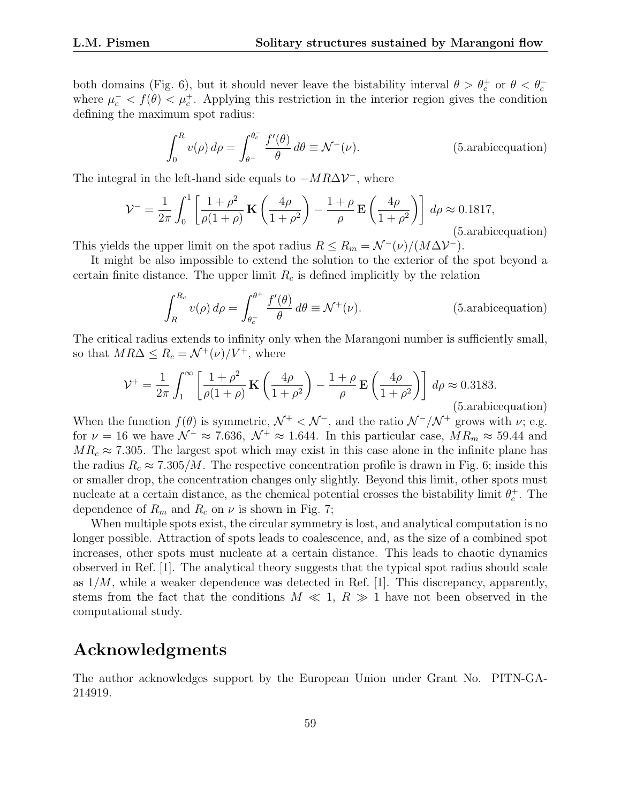both domains (Fig. 6), but it should never leave the bistability interval  $\theta > \theta_c^+$  or  $\theta < \theta_c^-$ where  $\mu_c^-$  <  $f(\theta)$  <  $\mu_c^+$ . Applying this restriction in the interior region gives the condition defining the maximum spot radius:

$$
\int_0^R v(\rho) d\rho = \int_{\theta^-}^{\theta_c^-} \frac{f'(\theta)}{\theta} d\theta \equiv \mathcal{N}^-(\nu).
$$
 (5.arabicequation)

The integral in the left-hand side equals to  $-MR\Delta V^-$ , where

$$
\mathcal{V}^- = \frac{1}{2\pi} \int_0^1 \left[ \frac{1+\rho^2}{\rho(1+\rho)} \mathbf{K} \left( \frac{4\rho}{1+\rho^2} \right) - \frac{1+\rho}{\rho} \mathbf{E} \left( \frac{4\rho}{1+\rho^2} \right) \right] d\rho \approx 0.1817,
$$
\n(5.arabicequation)

This yields the upper limit on the spot radius  $R \le R_m = \mathcal{N}^-(\nu)/(M\Delta\mathcal{V}^-)$ .

It might be also impossible to extend the solution to the exterior of the spot beyond a certain finite distance. The upper limit  $R_c$  is defined implicitly by the relation

$$
\int_{R}^{R_c} v(\rho) d\rho = \int_{\theta_c^-}^{\theta^+} \frac{f'(\theta)}{\theta} d\theta \equiv \mathcal{N}^+(\nu). \tag{5.arabicequation}
$$

The critical radius extends to infinity only when the Marangoni number is sufficiently small, so that  $MR\Delta \leq R_c = \mathcal{N}^+(\nu)/V^+$ , where

$$
\mathcal{V}^{+} = \frac{1}{2\pi} \int_{1}^{\infty} \left[ \frac{1+\rho^{2}}{\rho(1+\rho)} \mathbf{K} \left( \frac{4\rho}{1+\rho^{2}} \right) - \frac{1+\rho}{\rho} \mathbf{E} \left( \frac{4\rho}{1+\rho^{2}} \right) \right] d\rho \approx 0.3183.
$$
\n(5.arabicequation)

When the function  $f(\theta)$  is symmetric,  $\mathcal{N}^+ < \mathcal{N}^-$ , and the ratio  $\mathcal{N}^-/\mathcal{N}^+$  grows with  $\nu$ ; e.g. for  $\nu = 16$  we have  $\mathcal{N}^- \approx 7.636$ ,  $\mathcal{N}^+ \approx 1.644$ . In this particular case,  $MR_m \approx 59.44$  and  $MR_c \approx 7.305$ . The largest spot which may exist in this case alone in the infinite plane has the radius  $R_c \approx 7.305/M$ . The respective concentration profile is drawn in Fig. 6; inside this or smaller drop, the concentration changes only slightly. Beyond this limit, other spots must nucleate at a certain distance, as the chemical potential crosses the bistability limit  $\theta_c^+$ . The dependence of  $R_m$  and  $R_c$  on  $\nu$  is shown in Fig. 7;

When multiple spots exist, the circular symmetry is lost, and analytical computation is no longer possible. Attraction of spots leads to coalescence, and, as the size of a combined spot increases, other spots must nucleate at a certain distance. This leads to chaotic dynamics observed in Ref. [1]. The analytical theory suggests that the typical spot radius should scale as  $1/M$ , while a weaker dependence was detected in Ref. [1]. This discrepancy, apparently, stems from the fact that the conditions  $M \ll 1, R \gg 1$  have not been observed in the computational study.

# Acknowledgments

The author acknowledges support by the European Union under Grant No. PITN-GA-214919.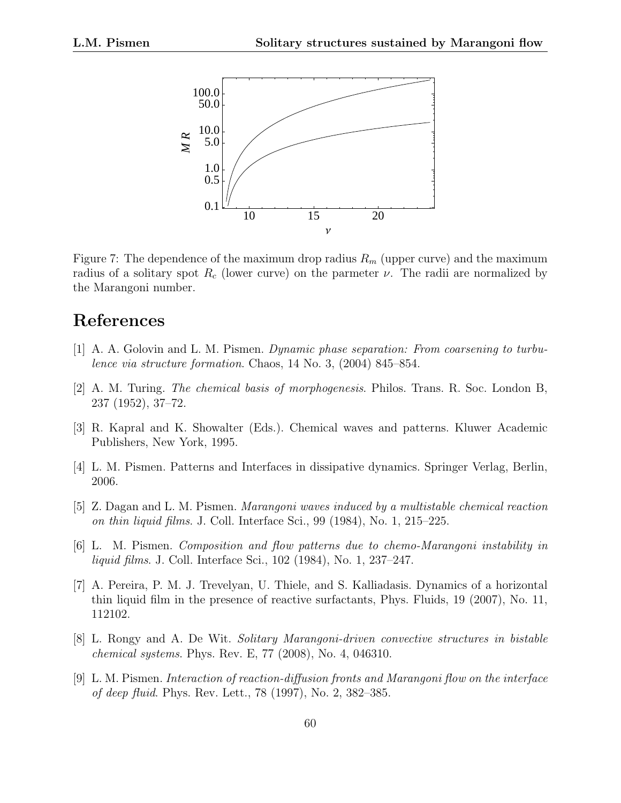

Figure 7: The dependence of the maximum drop radius  $R_m$  (upper curve) and the maximum radius of a solitary spot  $R_c$  (lower curve) on the parmeter  $\nu$ . The radii are normalized by the Marangoni number.

# References

- [1] A. A. Golovin and L. M. Pismen. Dynamic phase separation: From coarsening to turbulence via structure formation. Chaos, 14 No. 3, (2004) 845–854.
- [2] A. M. Turing. The chemical basis of morphogenesis. Philos. Trans. R. Soc. London B, 237 (1952), 37–72.
- [3] R. Kapral and K. Showalter (Eds.). Chemical waves and patterns. Kluwer Academic Publishers, New York, 1995.
- [4] L. M. Pismen. Patterns and Interfaces in dissipative dynamics. Springer Verlag, Berlin, 2006.
- [5] Z. Dagan and L. M. Pismen. Marangoni waves induced by a multistable chemical reaction on thin liquid films. J. Coll. Interface Sci., 99 (1984), No. 1, 215–225.
- [6] L. M. Pismen. Composition and flow patterns due to chemo-Marangoni instability in liquid films. J. Coll. Interface Sci., 102 (1984), No. 1, 237–247.
- [7] A. Pereira, P. M. J. Trevelyan, U. Thiele, and S. Kalliadasis. Dynamics of a horizontal thin liquid film in the presence of reactive surfactants, Phys. Fluids, 19 (2007), No. 11, 112102.
- [8] L. Rongy and A. De Wit. Solitary Marangoni-driven convective structures in bistable chemical systems. Phys. Rev. E, 77 (2008), No. 4, 046310.
- [9] L. M. Pismen. Interaction of reaction-diffusion fronts and Marangoni flow on the interface of deep fluid. Phys. Rev. Lett., 78 (1997), No. 2, 382–385.